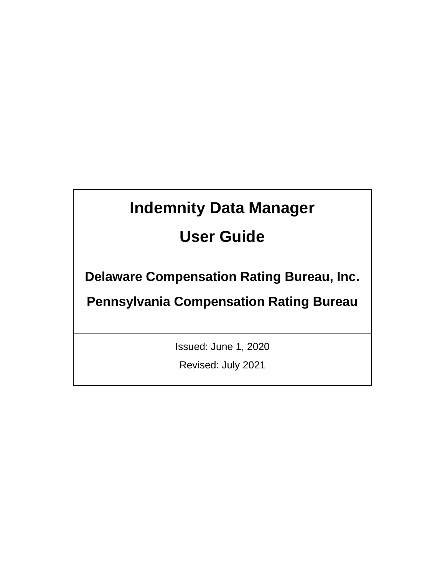# **Indemnity Data Manager**

# **User Guide**

**Delaware Compensation Rating Bureau, Inc.** 

**Pennsylvania Compensation Rating Bureau**

Issued: June 1, 2020

Revised: July 2021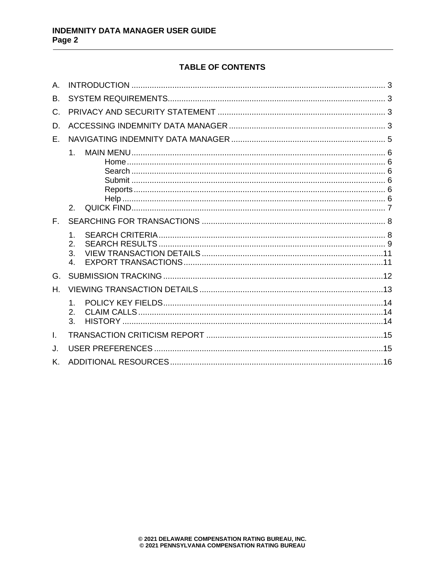# **TABLE OF CONTENTS**

| Α.           |                                  |  |
|--------------|----------------------------------|--|
| Β.           |                                  |  |
| C.           |                                  |  |
| D.           |                                  |  |
| F.           |                                  |  |
|              | 1.<br>$\mathcal{P}$              |  |
| $F_{\rm{L}}$ |                                  |  |
|              | 1.<br>2.<br>3.<br>$\mathbf{4}$ . |  |
| G.           |                                  |  |
| Н.           |                                  |  |
|              | 1.<br>2.<br>3.                   |  |
| I.           |                                  |  |
| J.           |                                  |  |
| Κ.           |                                  |  |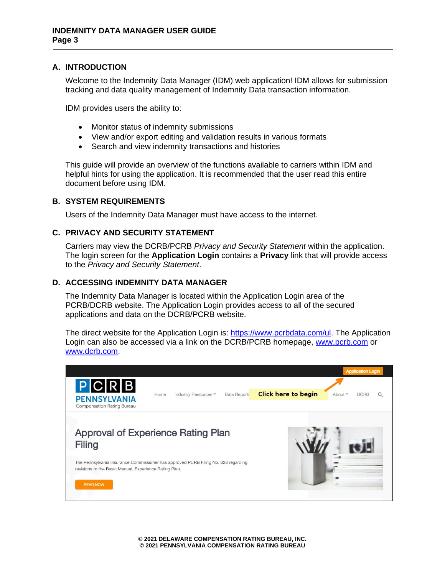#### <span id="page-2-0"></span>**A. INTRODUCTION**

Welcome to the Indemnity Data Manager (IDM) web application! IDM allows for submission tracking and data quality management of Indemnity Data transaction information.

IDM provides users the ability to:

- Monitor status of indemnity submissions
- View and/or export editing and validation results in various formats
- Search and view indemnity transactions and histories

This guide will provide an overview of the functions available to carriers within IDM and helpful hints for using the application. It is recommended that the user read this entire document before using IDM.

#### <span id="page-2-1"></span>**B. SYSTEM REQUIREMENTS**

Users of the Indemnity Data Manager must have access to the internet.

#### <span id="page-2-2"></span>**C. PRIVACY AND SECURITY STATEMENT**

Carriers may view the DCRB/PCRB *Privacy and Security Statement* within the application. The login screen for the **Application Login** contains a **Privacy** link that will provide access to the *Privacy and Security Statement*.

#### <span id="page-2-3"></span>**D. ACCESSING INDEMNITY DATA MANAGER**

The Indemnity Data Manager is located within the Application Login area of the PCRB/DCRB website. The Application Login provides access to all of the secured applications and data on the DCRB/PCRB website.

The direct website for the Application Login is: [https://www.pcrbdata.com/ul.](https://www.pcrbdata.com/ul) The Application Login can also be accessed via a link on the DCRB/PCRB homepage, [www.pcrb.com](http://www.pcrb.com/) or [www.dcrb.com.](http://www.dcrb.com/)

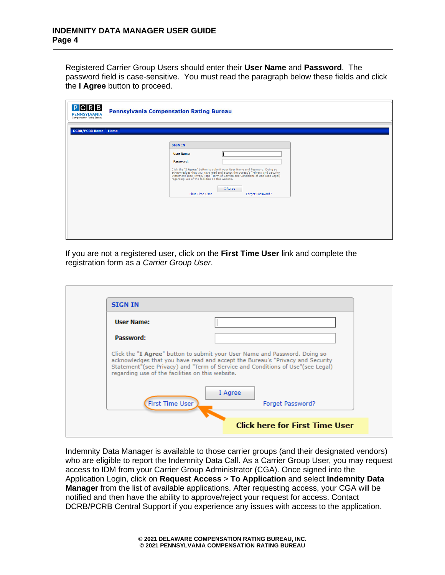Registered Carrier Group Users should enter their **User Name** and **Password**. The password field is case-sensitive. You must read the paragraph below these fields and click the **I Agree** button to proceed.

| PCRB<br><b>PENNSYLVANIA</b><br>Compensation Rating Bureau | <b>Pennsylvania Compensation Rating Bureau</b>                                                                                                                                                                                                                                                                                                 |
|-----------------------------------------------------------|------------------------------------------------------------------------------------------------------------------------------------------------------------------------------------------------------------------------------------------------------------------------------------------------------------------------------------------------|
| <b>DCRB/PCRB Home</b> Home                                |                                                                                                                                                                                                                                                                                                                                                |
|                                                           | <b>SIGN IN</b>                                                                                                                                                                                                                                                                                                                                 |
|                                                           | <b>User Name:</b><br>Password:<br>Click the "I Agree" button to submit your User Name and Password. Doing so<br>acknowledges that you have read and accept the Bureau's "Privacy and Security<br>Statement"(see Privacy) and "Term of Service and Conditions of Use"(see Legal)<br>regarding use of the facilities on this website.<br>I Agree |
|                                                           | <b>First Time User</b><br>Forget Password?                                                                                                                                                                                                                                                                                                     |

If you are not a registered user, click on the **First Time User** link and complete the registration form as a *Carrier Group User*.

| <b>STGN TN</b>                                   |                                                                                                                                                                 |
|--------------------------------------------------|-----------------------------------------------------------------------------------------------------------------------------------------------------------------|
| User Name:                                       |                                                                                                                                                                 |
| Password:                                        |                                                                                                                                                                 |
|                                                  | Click the "I Agree" button to submit your User Name and Password. Doing so                                                                                      |
| regarding use of the facilities on this website. | acknowledges that you have read and accept the Bureau's "Privacy and Security<br>Statement"(see Privacy) and "Term of Service and Conditions of Use"(see Legal) |
|                                                  | I Agree                                                                                                                                                         |
| <b>First Time User</b>                           | Forget Password?                                                                                                                                                |

Indemnity Data Manager is available to those carrier groups (and their designated vendors) who are eligible to report the Indemnity Data Call. As a Carrier Group User, you may request access to IDM from your Carrier Group Administrator (CGA). Once signed into the Application Login, click on **Request Access** > **To Application** and select **Indemnity Data Manager** from the list of available applications. After requesting access, your CGA will be notified and then have the ability to approve/reject your request for access. Contact DCRB/PCRB Central Support if you experience any issues with access to the application.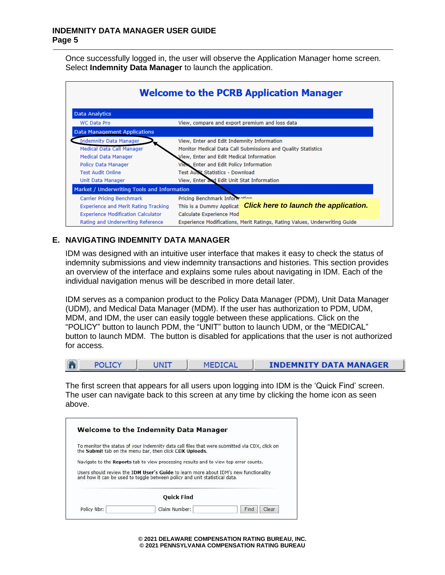Once successfully logged in, the user will observe the Application Manager home screen. Select **Indemnity Data Manager** to launch the application.

| <b>Welcome to the PCRB Application Manager</b>                       |                                                                            |  |  |  |  |  |  |  |  |
|----------------------------------------------------------------------|----------------------------------------------------------------------------|--|--|--|--|--|--|--|--|
| <b>Data Analytics</b>                                                |                                                                            |  |  |  |  |  |  |  |  |
| View, compare and export premium and loss data<br><b>WC Data Pro</b> |                                                                            |  |  |  |  |  |  |  |  |
| <b>Data Management Applications</b>                                  |                                                                            |  |  |  |  |  |  |  |  |
| <b>Indemnity Data Manager</b>                                        | View, Enter and Edit Indemnity Information                                 |  |  |  |  |  |  |  |  |
| Medical Data Call Manager                                            | Monitor Medical Data Call Submissions and Quality Statistics               |  |  |  |  |  |  |  |  |
| Medical Data Manager                                                 | View, Enter and Edit Medical Information                                   |  |  |  |  |  |  |  |  |
| <b>Policy Data Manager</b>                                           | View, Enter and Edit Policy Information                                    |  |  |  |  |  |  |  |  |
| <b>Test Audit Online</b>                                             | <b>Test Audit Statistics - Download</b>                                    |  |  |  |  |  |  |  |  |
| Unit Data Manager                                                    | View, Enter and Edit Unit Stat Information                                 |  |  |  |  |  |  |  |  |
| Market / Underwriting Tools and Information                          |                                                                            |  |  |  |  |  |  |  |  |
| Carrier Pricing Benchmark                                            | Pricing Benchmark Information                                              |  |  |  |  |  |  |  |  |
| Experience and Merit Rating Tracking                                 | This is a Dummy Applicat <b>Click here to launch the application.</b>      |  |  |  |  |  |  |  |  |
| <b>Experience Modification Calculator</b>                            | Calculate Experience Mod                                                   |  |  |  |  |  |  |  |  |
| Rating and Underwriting Reference                                    | Experience Modifications, Merit Ratings, Rating Values, Underwriting Guide |  |  |  |  |  |  |  |  |

## <span id="page-4-0"></span>**E. NAVIGATING INDEMNITY DATA MANAGER**

Ē

IDM was designed with an intuitive user interface that makes it easy to check the status of indemnity submissions and view indemnity transactions and histories. This section provides an overview of the interface and explains some rules about navigating in IDM. Each of the individual navigation menus will be described in more detail later.

IDM serves as a companion product to the Policy Data Manager (PDM), Unit Data Manager (UDM), and Medical Data Manager (MDM). If the user has authorization to PDM, UDM, MDM, and IDM, the user can easily toggle between these applications. Click on the "POLICY" button to launch PDM, the "UNIT" button to launch UDM, or the "MEDICAL" button to launch MDM. The button is disabled for applications that the user is not authorized for access.

| <b>POLICY</b> | <b>MEDICAL</b> | <b>INDEMNITY DATA MANAGER</b> |
|---------------|----------------|-------------------------------|
|               |                |                               |

The first screen that appears for all users upon logging into IDM is the 'Quick Find' screen. The user can navigate back to this screen at any time by clicking the home icon as seen above.

| To monitor the status of your indemnity data call files that were submitted via CDX, click on<br>the Submit tab on the menu bar, then click CDX Uploads.           |
|--------------------------------------------------------------------------------------------------------------------------------------------------------------------|
| Navigate to the Reports tab to view processing results and to view top error counts.                                                                               |
|                                                                                                                                                                    |
| Users should review the IDM User's Guide to learn more about IDM's new functionality<br>and how it can be used to toggle between policy and unit statistical data. |
| <b>Ouick Find</b>                                                                                                                                                  |

**© 2021 DELAWARE COMPENSATION RATING BUREAU, INC. © 2021 PENNSYLVANIA COMPENSATION RATING BUREAU**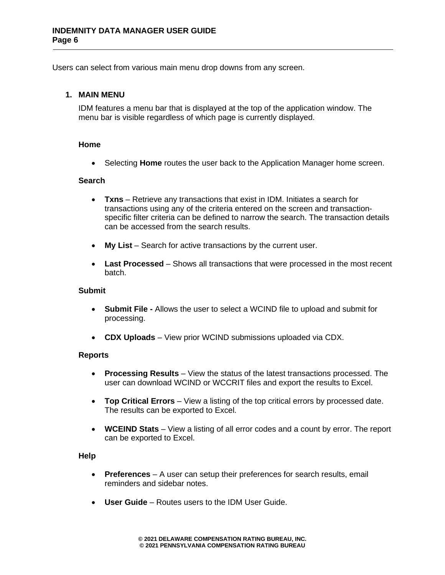Users can select from various main menu drop downs from any screen.

#### <span id="page-5-0"></span>**1. MAIN MENU**

IDM features a menu bar that is displayed at the top of the application window. The menu bar is visible regardless of which page is currently displayed.

#### <span id="page-5-1"></span>**Home**

• Selecting **Home** routes the user back to the Application Manager home screen.

#### <span id="page-5-2"></span>**Search**

- **Txns** Retrieve any transactions that exist in IDM. Initiates a search for transactions using any of the criteria entered on the screen and transactionspecific filter criteria can be defined to narrow the search. The transaction details can be accessed from the search results.
- **My List** Search for active transactions by the current user.
- **Last Processed** Shows all transactions that were processed in the most recent batch.

#### <span id="page-5-3"></span>**Submit**

- **Submit File -** Allows the user to select a WCIND file to upload and submit for processing.
- **CDX Uploads** View prior WCIND submissions uploaded via CDX.

#### <span id="page-5-4"></span>**Reports**

- **Processing Results** View the status of the latest transactions processed. The user can download WCIND or WCCRIT files and export the results to Excel.
- **Top Critical Errors** View a listing of the top critical errors by processed date. The results can be exported to Excel.
- **WCEIND Stats** View a listing of all error codes and a count by error. The report can be exported to Excel.

#### <span id="page-5-5"></span>**Help**

- **Preferences** A user can setup their preferences for search results, email reminders and sidebar notes.
- **User Guide** Routes users to the IDM User Guide.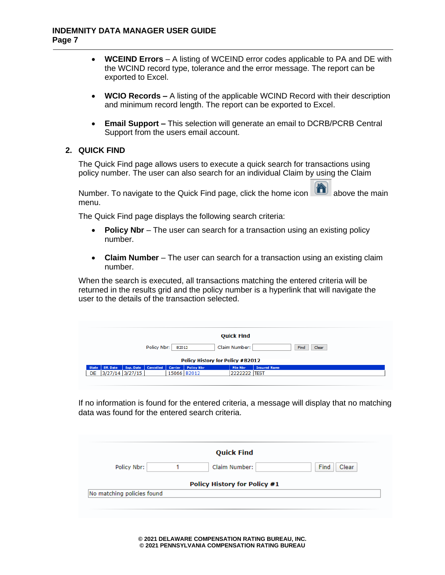- **WCEIND Errors** A listing of WCEIND error codes applicable to PA and DE with the WCIND record type, tolerance and the error message. The report can be exported to Excel.
- **WCIO Records –** A listing of the applicable WCIND Record with their description and minimum record length. The report can be exported to Excel.
- **Email Support –** This selection will generate an email to DCRB/PCRB Central Support from the users email account.

## <span id="page-6-0"></span>**2. QUICK FIND**

The Quick Find page allows users to execute a quick search for transactions using policy number. The user can also search for an individual Claim by using the Claim

Number. To navigate to the Quick Find page, click the home icon above the main menu.

The Quick Find page displays the following search criteria:

- **Policy Nbr** The user can search for a transaction using an existing policy number.
- **Claim Number** The user can search for a transaction using an existing claim number.

When the search is executed, all transactions matching the entered criteria will be returned in the results grid and the policy number is a hyperlink that will navigate the user to the details of the transaction selected.

| <b>Quick Find</b>                                             |           |           |         |                   |                 |                     |  |  |  |  |  |
|---------------------------------------------------------------|-----------|-----------|---------|-------------------|-----------------|---------------------|--|--|--|--|--|
| Claim Number:<br>Policy Nbr:<br>B2012<br>Find<br><b>Clear</b> |           |           |         |                   |                 |                     |  |  |  |  |  |
| Policy History for Policy #B2012                              |           |           |         |                   |                 |                     |  |  |  |  |  |
|                                                               |           | Cancelled | Carrier | <b>Policy Nbr</b> | <b>File Nbr</b> | <b>Insured Name</b> |  |  |  |  |  |
| Eff. Date<br><b>State</b>                                     | Exp. Date |           |         |                   |                 |                     |  |  |  |  |  |

If no information is found for the entered criteria, a message will display that no matching data was found for the entered search criteria.

|                            | <b>Quick Find</b>                   |               |
|----------------------------|-------------------------------------|---------------|
| Policy Nbr:                | Claim Number:                       | Find<br>Clear |
|                            | <b>Policy History for Policy #1</b> |               |
| No matching policies found |                                     |               |

**© 2021 DELAWARE COMPENSATION RATING BUREAU, INC. © 2021 PENNSYLVANIA COMPENSATION RATING BUREAU**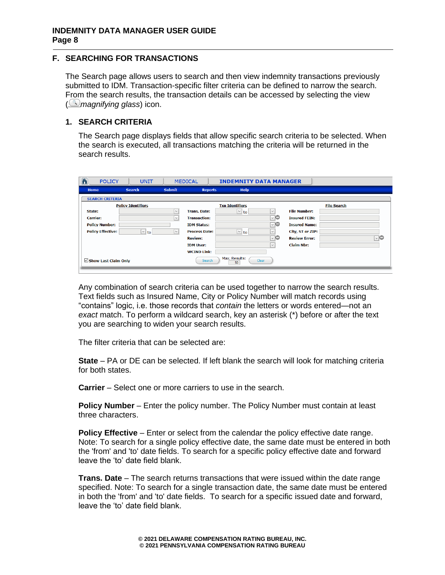## <span id="page-7-0"></span>**F. SEARCHING FOR TRANSACTIONS**

The Search page allows users to search and then view indemnity transactions previously submitted to IDM. Transaction-specific filter criteria can be defined to narrow the search. From the search results, the transaction details can be accessed by selecting the view ( *magnifying glass*) icon.

## <span id="page-7-1"></span>**1. SEARCH CRITERIA**

The Search page displays fields that allow specific search criteria to be selected. When the search is executed, all transactions matching the criteria will be returned in the search results.

| 合<br><b>POLICY</b>               | <b>UNIT</b>               |               | <b>MEDICAL</b>       | <b>INDEMNITY DATA MANAGER</b> |              |                      |                    |
|----------------------------------|---------------------------|---------------|----------------------|-------------------------------|--------------|----------------------|--------------------|
| Home                             | <b>Search</b>             | <b>Submit</b> | <b>Reports</b>       | <b>Help</b>                   |              |                      |                    |
| <b>SEARCH CRITERIA</b>           |                           |               |                      |                               |              |                      |                    |
|                                  | <b>Policy Identifiers</b> |               |                      | <b>Txn Identifiers</b>        |              |                      | <b>File Search</b> |
| State:                           |                           | $\checkmark$  | <b>Trans. Date:</b>  | $\vee$ to                     | $\checkmark$ | <b>File Number:</b>  |                    |
| <b>Carrier:</b>                  |                           | $\vee$        | <b>Transaction:</b>  |                               | ⊡⊝           | <b>Insured FEIN:</b> |                    |
| <b>Policy Number:</b>            |                           |               | <b>IDM Status:</b>   |                               | ⊡⊝           | <b>Insured Name:</b> |                    |
| <b>Policy Effective:</b>         | $\vee$ to                 | $\checkmark$  | <b>Process Date:</b> | $\boxed{\vee}$ to             | $\checkmark$ | City, ST or ZIP:     |                    |
|                                  |                           |               | <b>Review:</b>       |                               | ⊡⊜           | <b>Review Error:</b> | ⊡⊜                 |
|                                  |                           |               | <b>IDM User:</b>     |                               | $\vee$       | <b>Claim Nbr:</b>    |                    |
|                                  |                           |               | <b>WCIND Link:</b>   |                               |              |                      |                    |
| $\triangle$ Show Last Claim Only |                           |               | Search               | Max. Results:<br>50           | Clear        |                      |                    |

Any combination of search criteria can be used together to narrow the search results. Text fields such as Insured Name, City or Policy Number will match records using "contains" logic, i.e. those records that *contain* the letters or words entered—not an *exact* match. To perform a wildcard search, key an asterisk (\*) before or after the text you are searching to widen your search results.

The filter criteria that can be selected are:

**State** – PA or DE can be selected. If left blank the search will look for matching criteria for both states.

**Carrier** – Select one or more carriers to use in the search.

**Policy Number** – Enter the policy number. The Policy Number must contain at least three characters.

**Policy Effective** – Enter or select from the calendar the policy effective date range. Note: To search for a single policy effective date, the same date must be entered in both the 'from' and 'to' date fields. To search for a specific policy effective date and forward leave the 'to' date field blank.

**Trans. Date** – The search returns transactions that were issued within the date range specified. Note: To search for a single transaction date, the same date must be entered in both the 'from' and 'to' date fields. To search for a specific issued date and forward, leave the 'to' date field blank.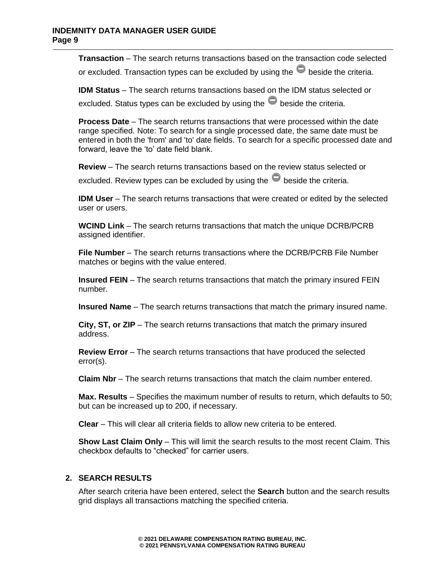**Transaction** – The search returns transactions based on the transaction code selected

or excluded. Transaction types can be excluded by using the  $\blacksquare$  beside the criteria.

**IDM Status** – The search returns transactions based on the IDM status selected or

excluded. Status types can be excluded by using the  $\blacksquare$  beside the criteria.

**Process Date** – The search returns transactions that were processed within the date range specified. Note: To search for a single processed date, the same date must be entered in both the 'from' and 'to' date fields. To search for a specific processed date and forward, leave the 'to' date field blank.

**Review** – The search returns transactions based on the review status selected or excluded. Review types can be excluded by using the  $\bullet$  beside the criteria.

**IDM User** – The search returns transactions that were created or edited by the selected user or users.

**WCIND Link** – The search returns transactions that match the unique DCRB/PCRB assigned identifier.

**File Number** – The search returns transactions where the DCRB/PCRB File Number matches or begins with the value entered.

**Insured FEIN** – The search returns transactions that match the primary insured FEIN number.

**Insured Name** – The search returns transactions that match the primary insured name.

**City, ST, or ZIP** – The search returns transactions that match the primary insured address.

**Review Error** – The search returns transactions that have produced the selected error(s).

**Claim Nbr** – The search returns transactions that match the claim number entered.

**Max. Results** – Specifies the maximum number of results to return, which defaults to 50; but can be increased up to 200, if necessary.

**Clear** – This will clear all criteria fields to allow new criteria to be entered.

**Show Last Claim Only** – This will limit the search results to the most recent Claim. This checkbox defaults to "checked" for carrier users.

#### <span id="page-8-0"></span>**2. SEARCH RESULTS**

After search criteria have been entered, select the **Search** button and the search results grid displays all transactions matching the specified criteria.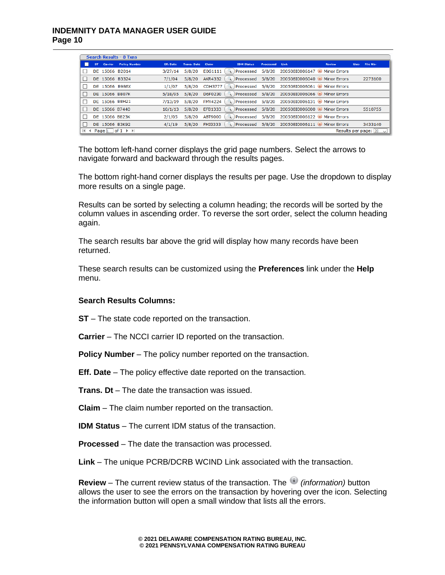## **INDEMNITY DATA MANAGER USER GUIDE Page 10**

|              | <b>Search Results - 8 Txns</b> |                                |                      |           |                    |                |                   |                  |                                                          |               |                                |              |  |
|--------------|--------------------------------|--------------------------------|----------------------|-----------|--------------------|----------------|-------------------|------------------|----------------------------------------------------------|---------------|--------------------------------|--------------|--|
|              | ST.                            | Carrier                        | <b>Policy Number</b> | Eff. Date | <b>Trans. Date</b> | <b>Claim</b>   | <b>IDM Status</b> | <b>Processed</b> | Link                                                     | <b>Review</b> | <b>File Nbr</b><br><b>User</b> |              |  |
|              |                                | DE 15066 B2014                 |                      | 3/27/14   | 5/8/20             | E0G1111        | Processed         |                  | 5/8/20 20050810006147 D Minor Errors                     |               |                                |              |  |
|              |                                | DE 15066 B3324                 |                      | 7/1/04    | 5/8/20             | <b>AKR4332</b> | Processed         |                  | 5/8/20 200508I0006040 Minor Errors                       |               | 2273100                        |              |  |
|              |                                | DE 15066 B986X                 |                      | 1/1/07    | 5/8/20             |                |                   |                  | CDH3777 (4) Processed 5/8/20 20050810006061 Minor Errors |               |                                |              |  |
|              |                                | DE 15066 B807K                 |                      | 5/18/95   | 5/8/20             | D6F0230        |                   |                  | Processed 5/8/20 20050810006066 Minor Errors             |               |                                |              |  |
|              |                                | DE 15066 B8H21                 |                      | 7/13/19   | 5/8/20             | <b>FMY4224</b> |                   |                  | C. Processed 5/8/20 20050810006131 D Minor Errors        |               |                                |              |  |
|              |                                | DE 15066 B7440                 |                      | 10/1/13   | 5/8/20             | EFB1333        | Processed         |                  | 5/8/20 20050810006000 i Minor Errors                     |               | 5510755                        |              |  |
|              |                                | DE 15066 B823K                 |                      | 2/1/05    | 5/8/20             | ABT9000        | Processed         |                  | 5/8/20 20050810006122 Minor Errors                       |               |                                |              |  |
|              |                                | DE 15066 B3K92                 |                      | 4/1/19    | 5/8/20             | FMJ3333        | Processed         |                  | 5/8/20 20050810006111 Minor Errors                       |               | 3433140                        |              |  |
| $\mathbb{N}$ |                                | $\triangleleft$ Page $\vert$ 1 | $of 1 \rightarrow M$ |           |                    |                |                   |                  |                                                          |               | Results per page:  20          | $\checkmark$ |  |

The bottom left-hand corner displays the grid page numbers. Select the arrows to navigate forward and backward through the results pages.

The bottom right-hand corner displays the results per page. Use the dropdown to display more results on a single page.

Results can be sorted by selecting a column heading; the records will be sorted by the column values in ascending order. To reverse the sort order, select the column heading again.

The search results bar above the grid will display how many records have been returned.

These search results can be customized using the **Preferences** link under the **Help** menu.

#### **Search Results Columns:**

**ST** – The state code reported on the transaction.

**Carrier** – The NCCI carrier ID reported on the transaction.

**Policy Number** – The policy number reported on the transaction.

**Eff. Date** – The policy effective date reported on the transaction.

**Trans. Dt** – The date the transaction was issued.

**Claim** – The claim number reported on the transaction.

**IDM Status** – The current IDM status of the transaction.

**Processed** – The date the transaction was processed.

**Link** – The unique PCRB/DCRB WCIND Link associated with the transaction.

**Review** – The current review status of the transaction. The *(information)* button allows the user to see the errors on the transaction by hovering over the icon. Selecting the information button will open a small window that lists all the errors.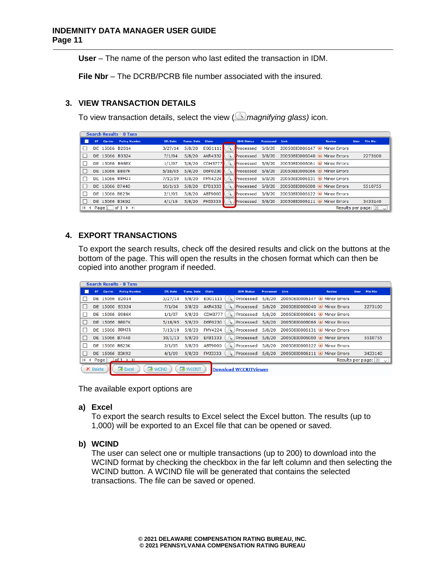#### **INDEMNITY DATA MANAGER USER GUIDE Page 11**

**User** – The name of the person who last edited the transaction in IDM.

**File Nbr** – The DCRB/PCRB file number associated with the insured.

# <span id="page-10-0"></span>**3. VIEW TRANSACTION DETAILS**

To view transaction details, select the view ( *magnifying glass)* icon.

|         | <b>Search Results - 8 Txns</b> |                |                      |           |                    |                |                   |           |                                                |               |                       |                 |  |
|---------|--------------------------------|----------------|----------------------|-----------|--------------------|----------------|-------------------|-----------|------------------------------------------------|---------------|-----------------------|-----------------|--|
|         | ST.                            | Carrier        | <b>Policy Number</b> | Eff. Date | <b>Trans. Date</b> | Claim          | <b>IDM Status</b> | Processed | Link                                           | <b>Review</b> | <b>User</b>           | <b>File Nbr</b> |  |
|         |                                | DE 15066 B2014 |                      | 3/27/14   | 5/8/20             | E0G1111        |                   |           | Processed 5/8/20 20050810006147 D Minor Errors |               |                       |                 |  |
|         |                                | DE 15066 B3324 |                      | 7/1/04    | 5/8/20             | AKR4332        |                   |           | Processed 5/8/20 200508I0006040 i Minor Errors |               |                       | 2273100         |  |
|         |                                | DE 15066 B986X |                      | 1/1/07    | 5/8/20             | CDH3777        |                   |           | Processed 5/8/20 20050810006061 Minor Errors   |               |                       |                 |  |
|         |                                | DE 15066 B807K |                      | 5/18/95   | 5/8/20             | D6F0230        |                   |           | Processed 5/8/20 200508I0006066 i Minor Errors |               |                       |                 |  |
|         |                                | DE 15066 B8H21 |                      | 7/13/19   | 5/8/20             | <b>FMY4224</b> |                   |           | Processed 5/8/20 20050810006131 D Minor Errors |               |                       |                 |  |
|         |                                | DE 15066 B7440 |                      | 10/1/13   | 5/8/20             | EFB1333        |                   |           | Processed 5/8/20 200508I0006000 i Minor Errors |               |                       | 5510755         |  |
|         |                                | DE 15066 B823K |                      | 2/1/05    | 5/8/20             | ABT9000        |                   |           | Processed 5/8/20 20050810006122 i Minor Errors |               |                       |                 |  |
|         |                                | DE 15066 B3K92 |                      | 4/1/19    | 5/8/20             | FMJ3333        |                   |           | Processed 5/8/20 200508I0006111 Minor Errors   |               |                       | 3433140         |  |
| $H = 4$ |                                | Page $ 1 $     | $of 1 \rightarrow M$ |           |                    |                |                   |           |                                                |               | Results per page:  20 | $\checkmark$    |  |

# <span id="page-10-1"></span>**4. EXPORT TRANSACTIONS**

To export the search results, check off the desired results and click on the buttons at the bottom of the page. This will open the results in the chosen format which can then be copied into another program if needed.

| <b>Search Results - 8 Txns</b> |                |                                          |                  |                 |                |                              |           |                                                  |               |      |                                 |  |
|--------------------------------|----------------|------------------------------------------|------------------|-----------------|----------------|------------------------------|-----------|--------------------------------------------------|---------------|------|---------------------------------|--|
| ST.                            | Carrier        | <b>Policy Number</b>                     | <b>Eff.</b> Date | Trans. Date     | Claim          | <b>IDM Status</b>            | Processed | Link                                             | <b>Review</b> | User | <b>File Nbr</b>                 |  |
|                                | DE 15066 B2014 |                                          | 3/27/14          | 5/8/20          | E0G1111        |                              |           | Processed 5/8/20 20050810006147 i Minor Errors   |               |      |                                 |  |
|                                | DE 15066 B3324 |                                          | 7/1/04           | 5/8/20          | <b>AKR4332</b> |                              |           | Processed 5/8/20 20050810006040 i Minor Errors   |               |      | 2273100                         |  |
|                                |                | DE 15066 B986X                           | 1/1/07           | 5/8/20          | <b>CDH3777</b> |                              |           | Processed 5/8/20 200508I0006061 Minor Errors     |               |      |                                 |  |
|                                | DE 15066 B807K |                                          | 5/18/95          | 5/8/20          | D6F0230        |                              |           | Processed 5/8/20 20050810006066 Minor Errors     |               |      |                                 |  |
|                                |                | DE 15066 B8H21                           | 7/13/19          | 5/8/20          | <b>FMY4224</b> |                              |           | Processed 5/8/20 200508I0006131 (i) Minor Errors |               |      |                                 |  |
|                                | DE 15066 B7440 |                                          | 10/1/13          | 5/8/20          | EFB1333        |                              |           | Processed 5/8/20 200508I0006000 Minor Errors     |               |      | 5510755                         |  |
|                                | DE 15066 B823K |                                          | 2/1/05           | 5/8/20          | ABT9000        |                              |           | Processed 5/8/20 20050810006122 (i) Minor Errors |               |      |                                 |  |
|                                | DE 15066 B3K92 |                                          | 4/1/19           | 5/8/20          | <b>FMJ3333</b> |                              |           | Processed 5/8/20 200508I0006111 (i) Minor Errors |               |      | 3433140                         |  |
|                                |                | H + Page 1 of 1 H                        |                  |                 |                |                              |           |                                                  |               |      | Results per page: $ 20 \rangle$ |  |
| X Delete                       |                | <b>R</b> WCIND<br>$\triangleright$ Excel |                  | <b>R</b> WCCRIT |                | <b>Download WCCRITViewer</b> |           |                                                  |               |      |                                 |  |

The available export options are

#### **a) Excel**

To export the search results to Excel select the Excel button. The results (up to 1,000) will be exported to an Excel file that can be opened or saved.

## **b) WCIND**

The user can select one or multiple transactions (up to 200) to download into the WCIND format by checking the checkbox in the far left column and then selecting the WCIND button. A WCIND file will be generated that contains the selected transactions. The file can be saved or opened.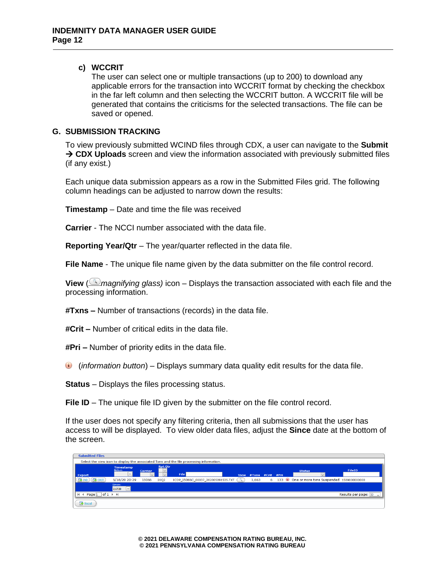#### **c) WCCRIT**

The user can select one or multiple transactions (up to 200) to download any applicable errors for the transaction into WCCRIT format by checking the checkbox in the far left column and then selecting the WCCRIT button. A WCCRIT file will be generated that contains the criticisms for the selected transactions. The file can be saved or opened.

#### <span id="page-11-0"></span>**G. SUBMISSION TRACKING**

To view previously submitted WCIND files through CDX, a user can navigate to the **Submit**  → **CDX Uploads** screen and view the information associated with previously submitted files (if any exist.)

Each unique data submission appears as a row in the Submitted Files grid. The following column headings can be adjusted to narrow down the results:

**Timestamp** – Date and time the file was received

**Carrier** - The NCCI number associated with the data file.

**Reporting Year/Qtr** – The year/quarter reflected in the data file.

**File Name** - The unique file name given by the data submitter on the file control record.

**View** (*Imagnifying glass*) icon – Displays the transaction associated with each file and the processing information.

**#Txns –** Number of transactions (records) in the data file.

**#Crit –** Number of critical edits in the data file.

**#Pri –** Number of priority edits in the data file.

(*information button*) – Displays summary data quality edit results for the data file.

**Status** – Displays the files processing status.

**File ID** – The unique file ID given by the submitter on the file control record.

If the user does not specify any filtering criteria, then all submissions that the user has access to will be displayed. To view older data files, adjust the **Since** date at the bottom of the screen.

| <b>Submitted Files</b>                                   |                                          |                |                          |                                                                                          |             |                  |   |               |                                              |
|----------------------------------------------------------|------------------------------------------|----------------|--------------------------|------------------------------------------------------------------------------------------|-------------|------------------|---|---------------|----------------------------------------------|
|                                                          |                                          |                |                          | Select the view icon to display the associated Txns and the file processing information. |             |                  |   |               |                                              |
| <b>Export</b>                                            | <b>Timestamp</b><br>Before:<br>$\vee$ II | <b>Carrier</b> | <b>Rpt.Qtr</b><br>$\vee$ | File                                                                                     | <b>View</b> | #Txns #Crit #Pri |   | <b>Status</b> | <b>FileID</b>                                |
| $\sqrt{2}$ CRIT<br><b>A</b> IND                          | 5/18/20 20:29                            | 15066          | 2002                     | ICDP 15066C 00037 202005091535.TXT                                                       | - 先         | 1.663            | 6 |               | 133 One or more txns Suspended 1589000000000 |
|                                                          | Since:<br>2/17/20<br>$\vee$              |                |                          |                                                                                          |             |                  |   |               |                                              |
| $of 1 \rightarrow \mathbb{N}$<br>$H \leftarrow$ Page $1$ |                                          |                |                          |                                                                                          |             |                  |   |               | Results per page: $[50 \sim]$                |
| <b>Excel</b>                                             |                                          |                |                          |                                                                                          |             |                  |   |               |                                              |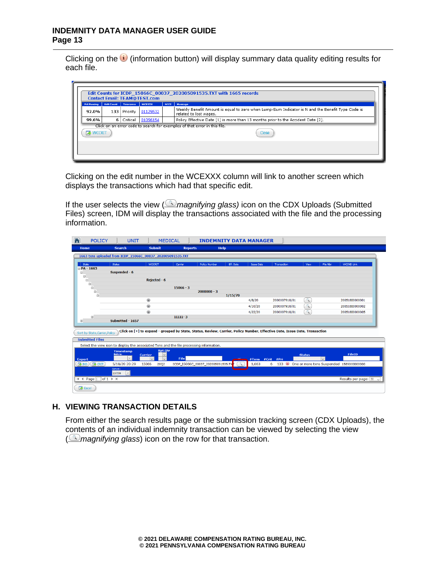#### **INDEMNITY DATA MANAGER USER GUIDE Page 13**

×

Clicking on the  $\bigcup$  (information button) will display summary data quality editing results for each file.

| <b>Contact Email: TEAM@TEST.com</b><br>Pct Passing<br><b>Edit Count</b><br>Tolerance<br><b>WCEXXX</b><br><b>NCCT</b><br>Message |     |          |          |  |                                                                                                                            |  |  |  |  |
|---------------------------------------------------------------------------------------------------------------------------------|-----|----------|----------|--|----------------------------------------------------------------------------------------------------------------------------|--|--|--|--|
| 92.0%                                                                                                                           | 133 | Priority | 01129532 |  | Weekly Benefit Amount is equal to zero when Lump-Sum Indicator is N and the Benefit Type Code is<br>related to lost wages. |  |  |  |  |
| 99.6%                                                                                                                           | 6   | Critical | 01056154 |  | Policy Effective Date [1] is more than 13 months prior to the Accident Date [2].                                           |  |  |  |  |
| Click on an error code to search for examples of that error in this file.<br><b>EX</b> WCCRIT<br>Close                          |     |          |          |  |                                                                                                                            |  |  |  |  |
|                                                                                                                                 |     |          |          |  |                                                                                                                            |  |  |  |  |

Clicking on the edit number in the WCEXXX column will link to another screen which displays the transactions which had that specific edit.

If the user selects the view (*<u>magnifying glass</u>*) icon on the CDX Uploads (Submitted Files) screen, IDM will display the transactions associated with the file and the processing information.

| 合                                                        | <b>POLICY</b>                                                    | <b>UNIT</b>                                                |                                | <b>MEDICAL</b>                                                                                                             | <b>INDEMNITY DATA MANAGER</b>     |           |                   |               |               |          |                                              |
|----------------------------------------------------------|------------------------------------------------------------------|------------------------------------------------------------|--------------------------------|----------------------------------------------------------------------------------------------------------------------------|-----------------------------------|-----------|-------------------|---------------|---------------|----------|----------------------------------------------|
| Home                                                     |                                                                  | <b>Search</b>                                              | <b>Submit</b>                  | <b>Reports</b>                                                                                                             | <b>Help</b>                       |           |                   |               |               |          |                                              |
|                                                          |                                                                  | 1663 txns uploaded from ICDP 15066C 00037 202005091535.TXT |                                |                                                                                                                            |                                   |           |                   |               |               |          |                                              |
| State                                                    |                                                                  | Status                                                     | <b>WCCRIT</b>                  | Carrier                                                                                                                    | <b>Policy Number</b>              | Eff. Date | <b>Issue Date</b> | Transaction   | View          | File Nbr | <b>WCIND Link</b>                            |
| $\Box$ PA - 1663<br>$\ominus$<br>$\qquad \qquad \boxdot$ |                                                                  | Suspended - 6                                              |                                |                                                                                                                            |                                   |           |                   |               |               |          |                                              |
| $\qquad \qquad \boxdot$<br>$\boldsymbol{\boxminus}$      |                                                                  |                                                            | Rejected - 6                   |                                                                                                                            |                                   |           |                   |               |               |          |                                              |
|                                                          | Θ<br>$\textcolor{black}{\textcolor{black}{\boldsymbol{\Theta}}}$ |                                                            |                                | $15066 - 3$                                                                                                                | $2000000 - 3$                     |           |                   |               |               |          |                                              |
|                                                          | $\qquad \qquad \boxdot$                                          |                                                            |                                |                                                                                                                            |                                   | 1/15/70   |                   |               |               |          |                                              |
|                                                          |                                                                  |                                                            | $^{\circ}$                     |                                                                                                                            |                                   |           | 4/8/20            | 2000007910/01 | $\alpha$      |          | 200518I0000001                               |
|                                                          |                                                                  |                                                            | $^{\circ}$                     |                                                                                                                            |                                   |           | 4/10/20           | 2000007910/01 | $\mathbb{R}$  |          | 200518I0000002                               |
|                                                          |                                                                  |                                                            | $\circledcirc$                 |                                                                                                                            |                                   |           | 4/22/20           | 2000007910/01 | $\mathbb{R}$  |          | 200518I0000005                               |
| $\circledcirc$                                           | $\circledcirc$                                                   | Submitted - 1657                                           |                                | $11111 - 3$                                                                                                                |                                   |           |                   |               |               |          |                                              |
|                                                          | Sort by State, Carrier, Policy                                   |                                                            |                                | Click on [+] to expand - grouped by State, Status, Review, Carrier, Policy Number, Effective Date, Issue Date, Transaction |                                   |           |                   |               |               |          |                                              |
|                                                          | <b>Submitted Files</b>                                           |                                                            |                                |                                                                                                                            |                                   |           |                   |               |               |          |                                              |
|                                                          |                                                                  |                                                            |                                | Select the view icon to display the associated Txns and the file processing information.                                   |                                   |           |                   |               |               |          |                                              |
| <b>Export</b>                                            |                                                                  | <b>Timestamp</b><br>Before:<br>$\vee$                      | <b>Carrier</b><br>$\checkmark$ | <b>Rpt.Qtr</b><br>$\vee$<br>File                                                                                           |                                   |           | #Txns #Crit       | #Pri          | <b>Status</b> | $\vee$   | <b>FileID</b>                                |
| <b>R</b> IND                                             | $\sqrt{2}$ CRIT                                                  | 5/18/20 20:29                                              | 15066<br>20Q2                  |                                                                                                                            | ICDP_15066C_00037_202005091535.TX |           | 1,663             | 6             |               |          | 133 One or more txns Suspended 1589000000000 |
|                                                          |                                                                  | Since:<br>$\backsim$<br>2/17/20                            |                                |                                                                                                                            |                                   |           |                   |               |               |          |                                              |
|                                                          | $H$ 4 Page $1$ of $1$ $\rightarrow$ $H$                          |                                                            |                                |                                                                                                                            |                                   |           |                   |               |               |          | Results per page: $50 - 7$                   |
| <b>Excel</b>                                             |                                                                  |                                                            |                                |                                                                                                                            |                                   |           |                   |               |               |          |                                              |

#### <span id="page-12-0"></span>**H. VIEWING TRANSACTION DETAILS**

From either the search results page or the submission tracking screen (CDX Uploads), the contents of an individual indemnity transaction can be viewed by selecting the view *(Imagnifying glass*) icon on the row for that transaction.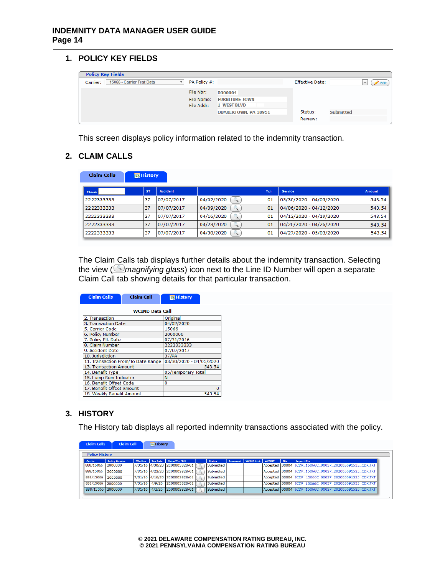<span id="page-13-0"></span>**1. POLICY KEY FIELDS**

| <b>Policy Key Fields</b>                   |                                       |                                                        |                        |                  |              |      |
|--------------------------------------------|---------------------------------------|--------------------------------------------------------|------------------------|------------------|--------------|------|
| Carrier:<br>15066 - Carrier Test Data<br>v | PA Policy #:                          |                                                        | <b>Effective Date:</b> |                  | $\checkmark$ | Edit |
|                                            | File Nbr:<br>File Name:<br>File Addr: | 0000004<br><b>FURNITURE TOWN</b><br><b>1 WEST BLVD</b> |                        |                  |              |      |
|                                            |                                       | <b>QUAKERTOWN, PA 18951</b>                            | Status:<br>Review:     | <b>Submitted</b> |              |      |

This screen displays policy information related to the indemnity transaction.

# <span id="page-13-1"></span>**2. CLAIM CALLS**

| <b>Claim Calls</b> | <b>■ History</b> |                 |            |     |                         |        |
|--------------------|------------------|-----------------|------------|-----|-------------------------|--------|
| Claim:             | <b>ST</b>        | <b>Accident</b> |            | Txn | <b>Service</b>          | Amount |
| 2222333333         | 37               | 07/07/2017      | 04/02/2020 | 01  | 03/30/2020 - 04/05/2020 | 543.54 |
| 2222333333         | 37               | 07/07/2017      | 04/09/2020 | 01  | 04/06/2020 - 04/12/2020 | 543.54 |
| 2222333333         | 37               | 07/07/2017      | 04/16/2020 | 01  | 04/13/2020 - 04/19/2020 | 543.54 |
| 2222333333         | 37               | 07/07/2017      | 04/23/2020 | 01  | 04/20/2020 - 04/26/2020 | 543.54 |
| 2222333333         | 37               | 07/07/2017      | 04/30/2020 | 01  | 04/27/2020 - 05/03/2020 | 543.54 |

The Claim Calls tab displays further details about the indemnity transaction. Selecting the view (*magnifying glass*) icon next to the Line ID Number will open a separate Claim Call tab showing details for that particular transaction.

| <b>Claim Calls</b>                 | <b>Claim Call</b>         | <b>■ History</b>        |  |  |  |  |  |
|------------------------------------|---------------------------|-------------------------|--|--|--|--|--|
|                                    | <b>WCIND Data Call</b>    |                         |  |  |  |  |  |
| 2. Transaction                     |                           | Original                |  |  |  |  |  |
| 3. Transaction Date                |                           | 04/02/2020              |  |  |  |  |  |
| 5. Carrier Code                    |                           | 15066                   |  |  |  |  |  |
| 6. Policy Number                   |                           |                         |  |  |  |  |  |
| 7. Policy Eff. Date                |                           | 07/31/2016              |  |  |  |  |  |
| 8. Claim Number                    |                           | 2222333333              |  |  |  |  |  |
| 9. Accident Date                   |                           | 07/07/2017              |  |  |  |  |  |
| 10. Jurisdiction                   |                           | 37/PA                   |  |  |  |  |  |
| 11. Transaction From/To Date Range |                           | 03/30/2020 - 04/05/2020 |  |  |  |  |  |
| 13. Transaction Amount             |                           | 543.54                  |  |  |  |  |  |
| 14. Benefit Type                   | 05/Temporary Total        |                         |  |  |  |  |  |
| 15. Lump Sum Indicator             | N                         |                         |  |  |  |  |  |
| 16. Benefit Offset Code            | o                         |                         |  |  |  |  |  |
| 17. Benefit Offset Amount          |                           | n                       |  |  |  |  |  |
|                                    | 18. Weekly Benefit Amount |                         |  |  |  |  |  |

#### <span id="page-13-2"></span>**3. HISTORY**

The History tab displays all reported indemnity transactions associated with the policy.

| <b>Claim Call</b> |                                                                                                                | <b>E</b> History |                             |                                                                                 |                                                |                                     |                        |               |      |                                                       |
|-------------------|----------------------------------------------------------------------------------------------------------------|------------------|-----------------------------|---------------------------------------------------------------------------------|------------------------------------------------|-------------------------------------|------------------------|---------------|------|-------------------------------------------------------|
|                   |                                                                                                                |                  |                             |                                                                                 |                                                |                                     |                        |               |      |                                                       |
|                   | <b>Effective</b>                                                                                               | <b>Txn Date</b>  | Claim/Txn/Bill              |                                                                                 | <b>Status</b>                                  | Processed                           | <b>WCIND Link</b>      | <b>WCCRIT</b> | File | <b>Import File</b>                                    |
|                   |                                                                                                                |                  |                             |                                                                                 |                                                |                                     |                        |               |      | Accepted 00004 ICDP 15066C 00037 202005091535 CDX.TXT |
|                   |                                                                                                                |                  |                             |                                                                                 |                                                |                                     |                        |               |      | Accepted 00004 ICDP 15066C 00037 202005091535 CDX.TXT |
|                   |                                                                                                                |                  |                             |                                                                                 |                                                |                                     |                        |               |      | Accepted 00004 ICDP 15066C 00037 202005091535 CDX.TXT |
|                   |                                                                                                                | 4/9/20           |                             |                                                                                 |                                                |                                     |                        |               |      | Accepted 00004 ICDP 15066C 00037 202005091535 CDX.TXT |
|                   |                                                                                                                |                  |                             |                                                                                 |                                                |                                     |                        |               |      | Accepted 00004 ICDP 15066C 00037 202005091535 CDX.TXT |
|                   | <b>Policy History</b><br><b>Policy Number</b><br>2000000<br>2000000<br>2000000<br>2000000<br>888/15066 2000000 |                  | 7/31/16<br>$7/31/16$ 4/2/20 | 7/31/16 4/23/20 2000003828/01<br>7/31/16 4/16/20 2000003828/01<br>2000003828/01 | 7/31/16 4/30/20 2000003828/01<br>2000003828/01 | Submitted<br>Submitted<br>Submitted | Submitted<br>Submitted |               |      |                                                       |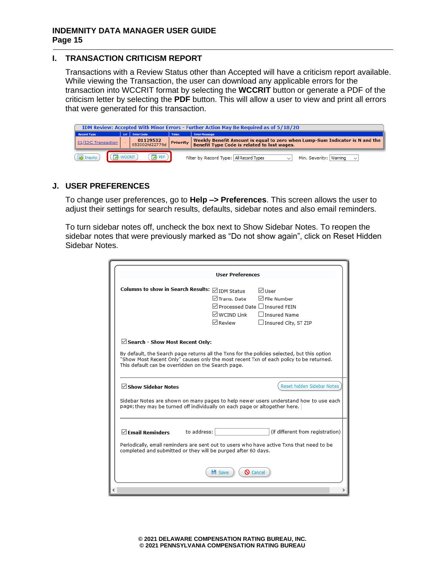## <span id="page-14-0"></span>**I. TRANSACTION CRITICISM REPORT**

Transactions with a Review Status other than Accepted will have a criticism report available. While viewing the Transaction, the user can download any applicable errors for the transaction into WCCRIT format by selecting the **WCCRIT** button or generate a PDF of the criticism letter by selecting the **PDF** button. This will allow a user to view and print all errors that were generated for this transaction.

|                                                  | IDM Review: Accepted With Minor Errors - Further Action May Be Required as of 5/18/20 |                   |  |                                                                                                           |        |                                                                                                                                   |  |  |  |  |  |  |  |
|--------------------------------------------------|---------------------------------------------------------------------------------------|-------------------|--|-----------------------------------------------------------------------------------------------------------|--------|-----------------------------------------------------------------------------------------------------------------------------------|--|--|--|--|--|--|--|
| <b>Error Code</b><br>Lyl  <br><b>Record Type</b> |                                                                                       |                   |  |                                                                                                           | Toler. | <b>Error Message</b>                                                                                                              |  |  |  |  |  |  |  |
|                                                  | 01/IDC Transaction                                                                    |                   |  | $\begin{array}{ c c c c c }\n\hline\n01129532 & \text{Priority} \\ 053202f d22779d & \hline\n\end{array}$ |        | Weekly Benefit Amount is equal to zero when Lump-Sum Indicator is N and the<br><b>Benefit Type Code is related to lost wages.</b> |  |  |  |  |  |  |  |
|                                                  | $\left(\sqrt{\frac{1}{2}}\right)$ Inquiry                                             | $\sqrt{2}$ WCCRIT |  | $PDF$ )                                                                                                   |        | Filter by Record Type: All Record Types<br>Min. Severity: Warning<br>$\sim$                                                       |  |  |  |  |  |  |  |

#### <span id="page-14-1"></span>**J. USER PREFERENCES**

To change user preferences, go to **Help –> Preferences**. This screen allows the user to adjust their settings for search results, defaults, sidebar notes and also email reminders.

To turn sidebar notes off, uncheck the box next to Show Sidebar Notes. To reopen the sidebar notes that were previously marked as "Do not show again", click on Reset Hidden Sidebar Notes.

|                                                                                                                                                                                                                                                                                          | <b>User Preferences</b>                                                                                                                                                                          |  |  |  |  |  |  |
|------------------------------------------------------------------------------------------------------------------------------------------------------------------------------------------------------------------------------------------------------------------------------------------|--------------------------------------------------------------------------------------------------------------------------------------------------------------------------------------------------|--|--|--|--|--|--|
| Columns to show in Search Results: ⊠ IDM Status                                                                                                                                                                                                                                          | √User<br><b>▽ File Number</b><br><b>⊡Trans, Date</b><br><b>ØProcessed Date</b> Dinsured FFIN<br>MWCIND Link<br>□ Insured Name<br>√ Review<br>$\Box$ Insured City, ST ZIP                         |  |  |  |  |  |  |
| $\boxdot$ Search - Show Most Recent Only:<br>By default, the Search page returns all the Txns for the policies selected, but this option<br>"Show Most Recent Only" causes only the most recent Txn of each policy to be returned.<br>This default can be overridden on the Search page. |                                                                                                                                                                                                  |  |  |  |  |  |  |
| $\boxdot$ Show Sidebar Notes                                                                                                                                                                                                                                                             | Reset hidden Sidebar Notes<br>Sidebar Notes are shown on many pages to help newer users understand how to use each<br>page; they may be turned off individually on each page or altogether here. |  |  |  |  |  |  |
| to address:<br>$\boxdot$ Fmail Reminders<br>completed and submitted or they will be purged after 60 days.                                                                                                                                                                                | (if different from registration)<br>Periodically, email reminders are sent out to users who have active Txns that need to be                                                                     |  |  |  |  |  |  |
|                                                                                                                                                                                                                                                                                          | <b>H</b> Save<br><b>Q</b> Cancel                                                                                                                                                                 |  |  |  |  |  |  |